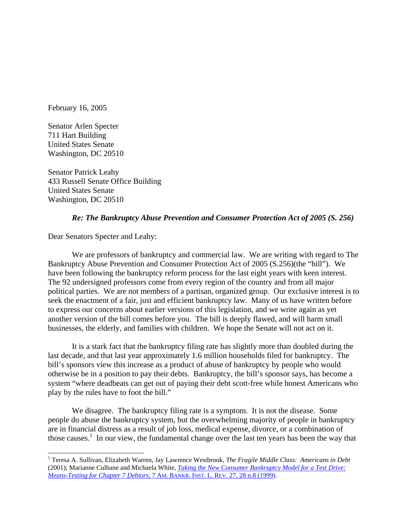February 16, 2005

Senator Arlen Specter 711 Hart Building United States Senate Washington, DC 20510

Senator Patrick Leahy 433 Russell Senate Office Building United States Senate Washington, DC 20510

#### *Re: The Bankruptcy Abuse Prevention and Consumer Protection Act of 2005 (S. 256)*

Dear Senators Specter and Leahy:

l

 We are professors of bankruptcy and commercial law. We are writing with regard to The Bankruptcy Abuse Prevention and Consumer Protection Act of 2005 (S.256)(the "bill"). We have been following the bankruptcy reform process for the last eight years with keen interest. The 92 undersigned professors come from every region of the country and from all major political parties. We are not members of a partisan, organized group. Our exclusive interest is to seek the enactment of a fair, just and efficient bankruptcy law. Many of us have written before to express our concerns about earlier versions of this legislation, and we write again as yet another version of the bill comes before you. The bill is deeply flawed, and will harm small businesses, the elderly, and families with children. We hope the Senate will not act on it.

 It is a stark fact that the bankruptcy filing rate has slightly more than doubled during the last decade, and that last year approximately 1.6 million households filed for bankruptcy. The bill's sponsors view this increase as a product of abuse of bankruptcy by people who would otherwise be in a position to pay their debts. Bankruptcy, the bill's sponsor says, has become a system "where deadbeats can get out of paying their debt scott-free while honest Americans who play by the rules have to foot the bill."

 We disagree. The bankruptcy filing rate is a symptom. It is not the disease. Some people do abuse the bankruptcy system, but the overwhelming majority of people in bankruptcy are in financial distress as a result of job loss, medical expense, divorce, or a combination of those causes.<sup>1</sup> In our view, the fundamental change over the last ten years has been the way that

<sup>&</sup>lt;sup>1</sup> Teresa A. Sullivan, Elizabeth Warren, Jay Lawrence Westbrook, *The Fragile Middle Class: Americans in Debt* (2001); Marianne Culhane and Michaela White, *Taking the New Consumer Bankruptcy Model for a Test Drive: Means-Testing for Chapter 7 Debtors,* 7 AM. BANKR. INST. L. REV. 27, 28 n.8 (1999).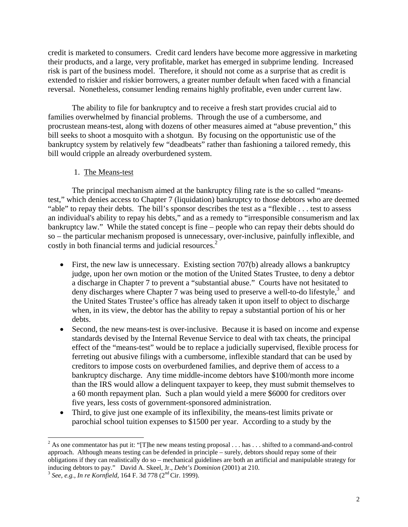credit is marketed to consumers. Credit card lenders have become more aggressive in marketing their products, and a large, very profitable, market has emerged in subprime lending. Increased risk is part of the business model. Therefore, it should not come as a surprise that as credit is extended to riskier and riskier borrowers, a greater number default when faced with a financial reversal. Nonetheless, consumer lending remains highly profitable, even under current law.

 The ability to file for bankruptcy and to receive a fresh start provides crucial aid to families overwhelmed by financial problems. Through the use of a cumbersome, and procrustean means-test, along with dozens of other measures aimed at "abuse prevention," this bill seeks to shoot a mosquito with a shotgun. By focusing on the opportunistic use of the bankruptcy system by relatively few "deadbeats" rather than fashioning a tailored remedy, this bill would cripple an already overburdened system.

1. The Means-test

 The principal mechanism aimed at the bankruptcy filing rate is the so called "meanstest," which denies access to Chapter 7 (liquidation) bankruptcy to those debtors who are deemed "able" to repay their debts. The bill's sponsor describes the test as a "flexible . . . test to assess an individual's ability to repay his debts," and as a remedy to "irresponsible consumerism and lax bankruptcy law." While the stated concept is fine – people who can repay their debts should do so – the particular mechanism proposed is unnecessary, over-inclusive, painfully inflexible, and costly in both financial terms and judicial resources.<sup>2</sup>

- First, the new law is unnecessary. Existing section 707(b) already allows a bankruptcy judge, upon her own motion or the motion of the United States Trustee, to deny a debtor a discharge in Chapter 7 to prevent a "substantial abuse." Courts have not hesitated to deny discharges where Chapter 7 was being used to preserve a well-to-do lifestyle, $3$  and the United States Trustee's office has already taken it upon itself to object to discharge when, in its view, the debtor has the ability to repay a substantial portion of his or her debts.
- Second, the new means-test is over-inclusive. Because it is based on income and expense standards devised by the Internal Revenue Service to deal with tax cheats, the principal effect of the "means-test" would be to replace a judicially supervised, flexible process for ferreting out abusive filings with a cumbersome, inflexible standard that can be used by creditors to impose costs on overburdened families, and deprive them of access to a bankruptcy discharge. Any time middle-income debtors have \$100/month more income than the IRS would allow a delinquent taxpayer to keep, they must submit themselves to a 60 month repayment plan. Such a plan would yield a mere \$6000 for creditors over five years, less costs of government-sponsored administration.
- Third, to give just one example of its inflexibility, the means-test limits private or parochial school tuition expenses to \$1500 per year. According to a study by the

 $\overline{\phantom{a}}$ 

<sup>&</sup>lt;sup>2</sup> As one commentator has put it: "[T]he new means testing proposal . . . has . . . shifted to a command-and-control approach. Although means testing can be defended in principle – surely, debtors should repay some of their obligations if they can realistically do so – mechanical guidelines are both an artificial and manipulable strategy for inducing debtors to pay." David A. Skeel, Jr., *Debt's Dominion* (2001) at 210.<br><sup>3</sup> *See, e.g., In re Kornfield*, 164 F. 3d 778 (2<sup>nd</sup> Cir. 1999).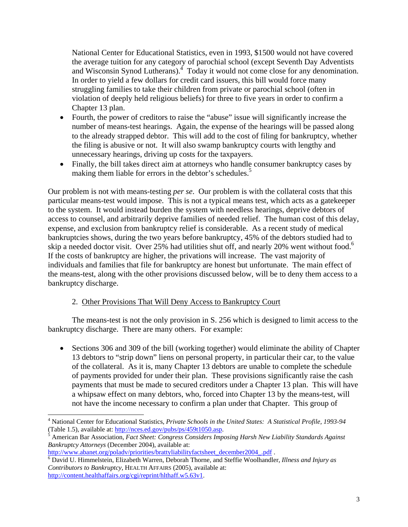National Center for Educational Statistics, even in 1993, \$1500 would not have covered the average tuition for any category of parochial school (except Seventh Day Adventists and Wisconsin Synod Lutherans).<sup>4</sup> Today it would not come close for any denomination. In order to yield a few dollars for credit card issuers, this bill would force many struggling families to take their children from private or parochial school (often in violation of deeply held religious beliefs) for three to five years in order to confirm a Chapter 13 plan.

- Fourth, the power of creditors to raise the "abuse" issue will significantly increase the number of means-test hearings. Again, the expense of the hearings will be passed along to the already strapped debtor. This will add to the cost of filing for bankruptcy, whether the filing is abusive or not. It will also swamp bankruptcy courts with lengthy and unnecessary hearings, driving up costs for the taxpayers.
- Finally, the bill takes direct aim at attorneys who handle consumer bankruptcy cases by making them liable for errors in the debtor's schedules.<sup>5</sup>

Our problem is not with means-testing *per se*. Our problem is with the collateral costs that this particular means-test would impose. This is not a typical means test, which acts as a gatekeeper to the system. It would instead burden the system with needless hearings, deprive debtors of access to counsel, and arbitrarily deprive families of needed relief. The human cost of this delay, expense, and exclusion from bankruptcy relief is considerable. As a recent study of medical bankruptcies shows, during the two years before bankruptcy, 45% of the debtors studied had to skip a needed doctor visit. Over 25% had utilities shut off, and nearly 20% went without food.<sup>6</sup> If the costs of bankruptcy are higher, the privations will increase. The vast majority of individuals and families that file for bankruptcy are honest but unfortunate. The main effect of the means-test, along with the other provisions discussed below, will be to deny them access to a bankruptcy discharge.

# 2. Other Provisions That Will Deny Access to Bankruptcy Court

 The means-test is not the only provision in S. 256 which is designed to limit access to the bankruptcy discharge. There are many others. For example:

• Sections 306 and 309 of the bill (working together) would eliminate the ability of Chapter 13 debtors to "strip down" liens on personal property, in particular their car, to the value of the collateral. As it is, many Chapter 13 debtors are unable to complete the schedule of payments provided for under their plan. These provisions significantly raise the cash payments that must be made to secured creditors under a Chapter 13 plan. This will have a whipsaw effect on many debtors, who, forced into Chapter 13 by the means-test, will not have the income necessary to confirm a plan under that Chapter. This group of

http://www.abanet.org/poladv/priorities/brattyliabilityfactsheet\_december2004\_.pdf .

 $\overline{\phantom{a}}$ 

<sup>4</sup> National Center for Educational Statistics, *Private Schools in the United States: A Statistical Profile, 1993-94*  (Table 1.5), available at: http://nces.ed.gov/pubs/ps/459t1050.asp.

American Bar Association, *Fact Sheet: Congress Considers Imposing Harsh New Liability Standards Against Bankruptcy Attorneys* (December 2004), available at:

David U. Himmelstein, Elizabeth Warren, Deborah Thorne, and Steffie Woolhandler, *Illness and Injury as Contributors to Bankruptcy*, HEALTH AFFAIRS (2005), available at: http://content.healthaffairs.org/cgi/reprint/hlthaff.w5.63v1.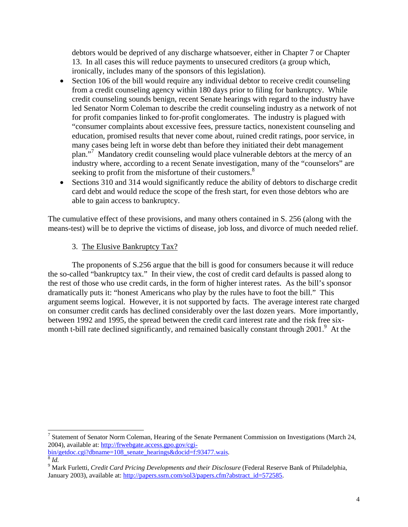debtors would be deprived of any discharge whatsoever, either in Chapter 7 or Chapter 13. In all cases this will reduce payments to unsecured creditors (a group which, ironically, includes many of the sponsors of this legislation).

- Section 106 of the bill would require any individual debtor to receive credit counseling from a credit counseling agency within 180 days prior to filing for bankruptcy. While credit counseling sounds benign, recent Senate hearings with regard to the industry have led Senator Norm Coleman to describe the credit counseling industry as a network of not for profit companies linked to for-profit conglomerates. The industry is plagued with "consumer complaints about excessive fees, pressure tactics, nonexistent counseling and education, promised results that never come about, ruined credit ratings, poor service, in many cases being left in worse debt than before they initiated their debt management plan."<sup>7</sup> Mandatory credit counseling would place vulnerable debtors at the mercy of an industry where, according to a recent Senate investigation, many of the "counselors" are seeking to profit from the misfortune of their customers.<sup>8</sup>
- Sections 310 and 314 would significantly reduce the ability of debtors to discharge credit card debt and would reduce the scope of the fresh start, for even those debtors who are able to gain access to bankruptcy.

The cumulative effect of these provisions, and many others contained in S. 256 (along with the means-test) will be to deprive the victims of disease, job loss, and divorce of much needed relief.

# 3. The Elusive Bankruptcy Tax?

 The proponents of S.256 argue that the bill is good for consumers because it will reduce the so-called "bankruptcy tax." In their view, the cost of credit card defaults is passed along to the rest of those who use credit cards, in the form of higher interest rates. As the bill's sponsor dramatically puts it: "honest Americans who play by the rules have to foot the bill." This argument seems logical. However, it is not supported by facts. The average interest rate charged on consumer credit cards has declined considerably over the last dozen years. More importantly, between 1992 and 1995, the spread between the credit card interest rate and the risk free sixmonth t-bill rate declined significantly, and remained basically constant through  $2001$ .<sup>9</sup> At the

<sup>&</sup>lt;sup>7</sup> Statement of Senator Norm Coleman, Hearing of the Senate Permanent Commission on Investigations (March 24, 2004), available at: http://frwebgate.access.gpo.gov/cgi-

bin/getdoc.cgi?dbname=108\_senate\_hearings&docid=f:93477.wais. 8 *Id.*<sup>9</sup>

Mark Furletti, *Credit Card Pricing Developments and their Disclosure* (Federal Reserve Bank of Philadelphia, January 2003), available at: http://papers.ssrn.com/sol3/papers.cfm?abstract\_id=572585.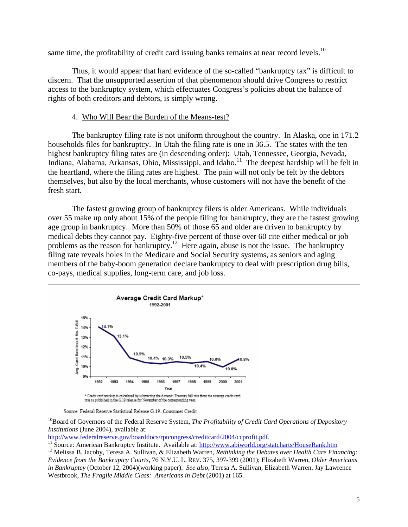same time, the profitability of credit card issuing banks remains at near record levels.<sup>10</sup>

 Thus, it would appear that hard evidence of the so-called "bankruptcy tax" is difficult to discern. That the unsupported assertion of that phenomenon should drive Congress to restrict access to the bankruptcy system, which effectuates Congress's policies about the balance of rights of both creditors and debtors, is simply wrong.

### 4. Who Will Bear the Burden of the Means-test?

 The bankruptcy filing rate is not uniform throughout the country. In Alaska, one in 171.2 households files for bankruptcy. In Utah the filing rate is one in 36.5. The states with the ten highest bankruptcy filing rates are (in descending order): Utah, Tennessee, Georgia, Nevada, Indiana, Alabama, Arkansas, Ohio, Mississippi, and Idaho.<sup>11</sup> The deepest hardship will be felt in the heartland, where the filing rates are highest. The pain will not only be felt by the debtors themselves, but also by the local merchants, whose customers will not have the benefit of the fresh start.

 The fastest growing group of bankruptcy filers is older Americans. While individuals over 55 make up only about 15% of the people filing for bankruptcy, they are the fastest growing age group in bankruptcy. More than 50% of those 65 and older are driven to bankruptcy by medical debts they cannot pay. Eighty-five percent of those over 60 cite either medical or job problems as the reason for bankruptcy.<sup>12</sup> Here again, abuse is not the issue. The bankruptcy filing rate reveals holes in the Medicare and Social Security systems, as seniors and aging members of the baby-boom generation declare bankruptcy to deal with prescription drug bills, co-pays, medical supplies, long-term care, and job loss.



Source: Federal Reserve Statistical Release G.19- Consumer Credit

<sup>10</sup>Board of Governors of the Federal Reserve System, *The Profitability of Credit Card Operations of Depository Institutions* (June 2004), available at:<br>http://www.federalreserve.gov/boarddocs/rptcongress/creditcard/2004/ccprofit.pdf.

<sup>11</sup> Source: American Bankruptcy Institute. Available at:  $\frac{http://www.abiworld.org/statcharts/HouseRank.htm}{http://www.abiworld.org/statcharts/HouseRank.htm}$ <br><sup>12</sup> Melissa B. Jacoby, Teresa A. Sullivan, & Elizabeth Warren, *Rethinking the Debates over Health Care Financing*: *Evidence from the Bankruptcy Courts*, 76 N.Y.U. L. REV. 375, 397-399 (2001); Elizabeth Warren, *Older Americans in Bankruptcy* (October 12, 2004)(working paper). *See also*, Teresa A. Sullivan, Elizabeth Warren, Jay Lawrence Westbrook, *The Fragile Middle Class: Americans in Debt* (2001) at 165.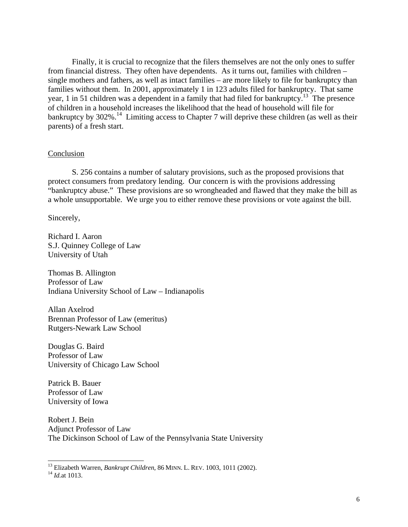Finally, it is crucial to recognize that the filers themselves are not the only ones to suffer from financial distress. They often have dependents. As it turns out, families with children – single mothers and fathers, as well as intact families – are more likely to file for bankruptcy than families without them. In 2001, approximately 1 in 123 adults filed for bankruptcy. That same year, 1 in 51 children was a dependent in a family that had filed for bankruptcy.13 The presence of children in a household increases the likelihood that the head of household will file for bankruptcy by 302%.<sup>14</sup> Limiting access to Chapter 7 will deprive these children (as well as their parents) of a fresh start.

#### Conclusion

 S. 256 contains a number of salutary provisions, such as the proposed provisions that protect consumers from predatory lending. Our concern is with the provisions addressing "bankruptcy abuse." These provisions are so wrongheaded and flawed that they make the bill as a whole unsupportable. We urge you to either remove these provisions or vote against the bill.

Sincerely,

Richard I. Aaron S.J. Quinney College of Law University of Utah

Thomas B. Allington Professor of Law Indiana University School of Law – Indianapolis

Allan Axelrod Brennan Professor of Law (emeritus) Rutgers-Newark Law School

Douglas G. Baird Professor of Law University of Chicago Law School

Patrick B. Bauer Professor of Law University of Iowa

Robert J. Bein Adjunct Professor of Law The Dickinson School of Law of the Pennsylvania State University

<sup>13</sup> Elizabeth Warren, *Bankrupt Children*, 86 MINN. L. REV. 1003, 1011 (2002).<br><sup>14</sup> *Id.*at 1013.

 $\overline{\phantom{a}}$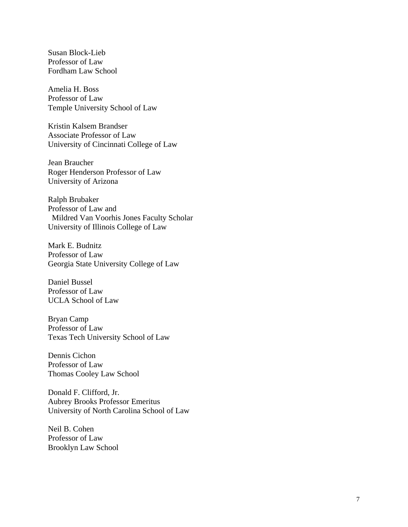Susan Block-Lieb Professor of Law Fordham Law School

Amelia H. Boss Professor of Law Temple University School of Law

Kristin Kalsem Brandser Associate Professor of Law University of Cincinnati College of Law

Jean Braucher Roger Henderson Professor of Law University of Arizona

Ralph Brubaker Professor of Law and Mildred Van Voorhis Jones Faculty Scholar University of Illinois College of Law

Mark E. Budnitz Professor of Law Georgia State University College of Law

Daniel Bussel Professor of Law UCLA School of Law

Bryan Camp Professor of Law Texas Tech University School of Law

Dennis Cichon Professor of Law Thomas Cooley Law School

Donald F. Clifford, Jr. Aubrey Brooks Professor Emeritus University of North Carolina School of Law

Neil B. Cohen Professor of Law Brooklyn Law School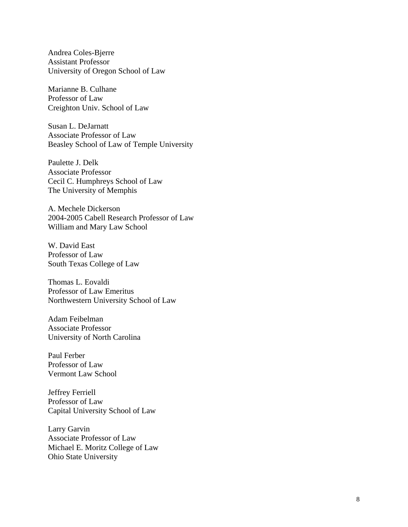Andrea Coles-Bjerre Assistant Professor University of Oregon School of Law

Marianne B. Culhane Professor of Law Creighton Univ. School of Law

Susan L. DeJarnatt Associate Professor of Law Beasley School of Law of Temple University

Paulette J. Delk Associate Professor Cecil C. Humphreys School of Law The University of Memphis

A. Mechele Dickerson 2004-2005 Cabell Research Professor of Law William and Mary Law School

W. David East Professor of Law South Texas College of Law

Thomas L. Eovaldi Professor of Law Emeritus Northwestern University School of Law

Adam Feibelman Associate Professor University of North Carolina

Paul Ferber Professor of Law Vermont Law School

Jeffrey Ferriell Professor of Law Capital University School of Law

Larry Garvin Associate Professor of Law Michael E. Moritz College of Law Ohio State University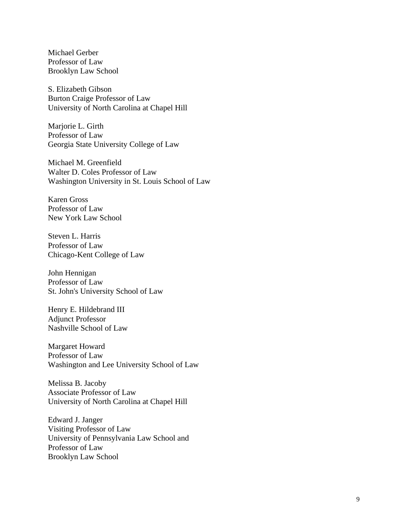Michael Gerber Professor of Law Brooklyn Law School

S. Elizabeth Gibson Burton Craige Professor of Law University of North Carolina at Chapel Hill

Marjorie L. Girth Professor of Law Georgia State University College of Law

Michael M. Greenfield Walter D. Coles Professor of Law Washington University in St. Louis School of Law

Karen Gross Professor of Law New York Law School

Steven L. Harris Professor of Law Chicago-Kent College of Law

John Hennigan Professor of Law St. John's University School of Law

Henry E. Hildebrand III Adjunct Professor Nashville School of Law

Margaret Howard Professor of Law Washington and Lee University School of Law

Melissa B. Jacoby Associate Professor of Law University of North Carolina at Chapel Hill

Edward J. Janger Visiting Professor of Law University of Pennsylvania Law School and Professor of Law Brooklyn Law School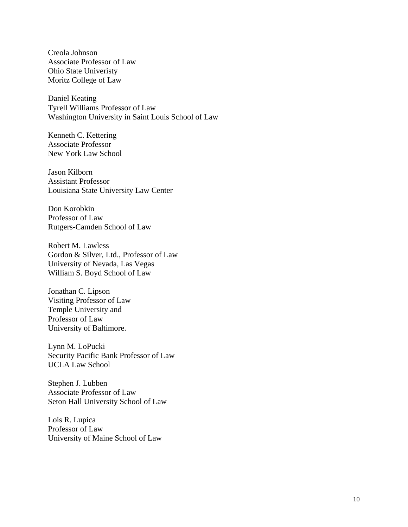Creola Johnson Associate Professor of Law Ohio State Univeristy Moritz College of Law

Daniel Keating Tyrell Williams Professor of Law Washington University in Saint Louis School of Law

Kenneth C. Kettering Associate Professor New York Law School

Jason Kilborn Assistant Professor Louisiana State University Law Center

Don Korobkin Professor of Law Rutgers-Camden School of Law

Robert M. Lawless Gordon & Silver, Ltd., Professor of Law University of Nevada, Las Vegas William S. Boyd School of Law

Jonathan C. Lipson Visiting Professor of Law Temple University and Professor of Law University of Baltimore.

Lynn M. LoPucki Security Pacific Bank Professor of Law UCLA Law School

Stephen J. Lubben Associate Professor of Law Seton Hall University School of Law

Lois R. Lupica Professor of Law University of Maine School of Law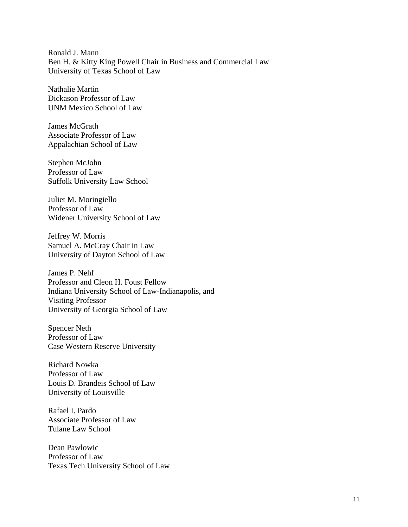Ronald J. Mann Ben H. & Kitty King Powell Chair in Business and Commercial Law University of Texas School of Law

Nathalie Martin Dickason Professor of Law UNM Mexico School of Law

James McGrath Associate Professor of Law Appalachian School of Law

Stephen McJohn Professor of Law Suffolk University Law School

Juliet M. Moringiello Professor of Law Widener University School of Law

Jeffrey W. Morris Samuel A. McCray Chair in Law University of Dayton School of Law

James P. Nehf Professor and Cleon H. Foust Fellow Indiana University School of Law-Indianapolis, and Visiting Professor University of Georgia School of Law

Spencer Neth Professor of Law Case Western Reserve University

Richard Nowka Professor of Law Louis D. Brandeis School of Law University of Louisville

Rafael I. Pardo Associate Professor of Law Tulane Law School

Dean Pawlowic Professor of Law Texas Tech University School of Law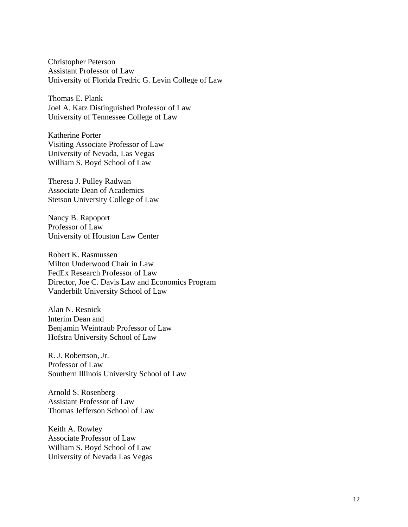Christopher Peterson Assistant Professor of Law University of Florida Fredric G. Levin College of Law

Thomas E. Plank Joel A. Katz Distinguished Professor of Law University of Tennessee College of Law

Katherine Porter Visiting Associate Professor of Law University of Nevada, Las Vegas William S. Boyd School of Law

Theresa J. Pulley Radwan Associate Dean of Academics Stetson University College of Law

Nancy B. Rapoport Professor of Law University of Houston Law Center

Robert K. Rasmussen Milton Underwood Chair in Law FedEx Research Professor of Law Director, Joe C. Davis Law and Economics Program Vanderbilt University School of Law

Alan N. Resnick Interim Dean and Benjamin Weintraub Professor of Law Hofstra University School of Law

R. J. Robertson, Jr. Professor of Law Southern Illinois University School of Law

Arnold S. Rosenberg Assistant Professor of Law Thomas Jefferson School of Law

Keith A. Rowley Associate Professor of Law William S. Boyd School of Law University of Nevada Las Vegas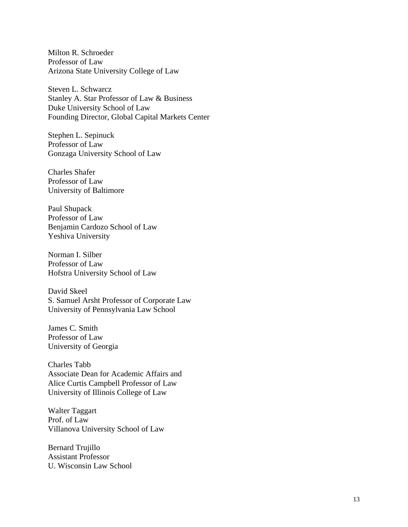Milton R. Schroeder Professor of Law Arizona State University College of Law

Steven L. Schwarcz Stanley A. Star Professor of Law & Business Duke University School of Law Founding Director, Global Capital Markets Center

Stephen L. Sepinuck Professor of Law Gonzaga University School of Law

Charles Shafer Professor of Law University of Baltimore

Paul Shupack Professor of Law Benjamin Cardozo School of Law Yeshiva University

Norman I. Silber Professor of Law Hofstra University School of Law

David Skeel S. Samuel Arsht Professor of Corporate Law University of Pennsylvania Law School

James C. Smith Professor of Law University of Georgia

Charles Tabb Associate Dean for Academic Affairs and Alice Curtis Campbell Professor of Law University of Illinois College of Law

Walter Taggart Prof. of Law Villanova University School of Law

Bernard Trujillo Assistant Professor U. Wisconsin Law School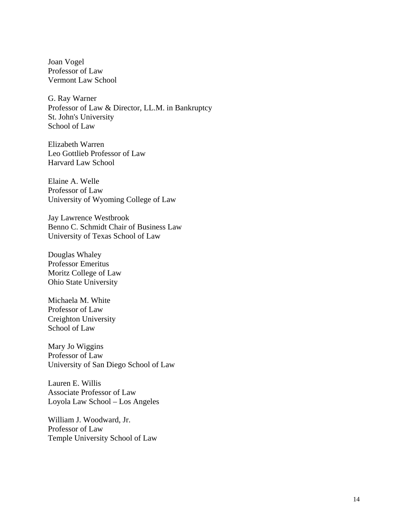Joan Vogel Professor of Law Vermont Law School

G. Ray Warner Professor of Law & Director, LL.M. in Bankruptcy St. John's University School of Law

Elizabeth Warren Leo Gottlieb Professor of Law Harvard Law School

Elaine A. Welle Professor of Law University of Wyoming College of Law

Jay Lawrence Westbrook Benno C. Schmidt Chair of Business Law University of Texas School of Law

Douglas Whaley Professor Emeritus Moritz College of Law Ohio State University

Michaela M. White Professor of Law Creighton University School of Law

Mary Jo Wiggins Professor of Law University of San Diego School of Law

Lauren E. Willis Associate Professor of Law Loyola Law School – Los Angeles

William J. Woodward, Jr. Professor of Law Temple University School of Law